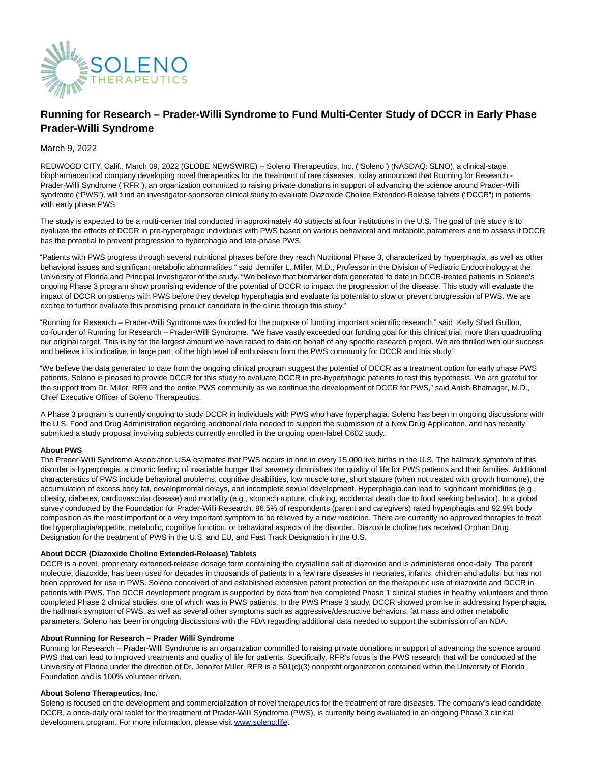

# **Running for Research – Prader-Willi Syndrome to Fund Multi-Center Study of DCCR in Early Phase Prader-Willi Syndrome**

## March 9, 2022

REDWOOD CITY, Calif., March 09, 2022 (GLOBE NEWSWIRE) -- Soleno Therapeutics, Inc. ("Soleno") (NASDAQ: SLNO), a clinical-stage biopharmaceutical company developing novel therapeutics for the treatment of rare diseases, today announced that Running for Research - Prader-Willi Syndrome ("RFR"), an organization committed to raising private donations in support of advancing the science around Prader-Willi syndrome ("PWS"), will fund an investigator-sponsored clinical study to evaluate Diazoxide Choline Extended-Release tablets ("DCCR") in patients with early phase PWS.

The study is expected to be a multi-center trial conducted in approximately 40 subjects at four institutions in the U.S. The goal of this study is to evaluate the effects of DCCR in pre-hyperphagic individuals with PWS based on various behavioral and metabolic parameters and to assess if DCCR has the potential to prevent progression to hyperphagia and late-phase PWS.

"Patients with PWS progress through several nutritional phases before they reach Nutritional Phase 3, characterized by hyperphagia, as well as other behavioral issues and significant metabolic abnormalities," said Jennifer L. Miller, M.D., Professor in the Division of Pediatric Endocrinology at the University of Florida and Principal Investigator of the study. "We believe that biomarker data generated to date in DCCR-treated patients in Soleno's ongoing Phase 3 program show promising evidence of the potential of DCCR to impact the progression of the disease. This study will evaluate the impact of DCCR on patients with PWS before they develop hyperphagia and evaluate its potential to slow or prevent progression of PWS. We are excited to further evaluate this promising product candidate in the clinic through this study."

"Running for Research – Prader-Willi Syndrome was founded for the purpose of funding important scientific research," said Kelly Shad Guillou, co-founder of Running for Research – Prader-Willi Syndrome. "We have vastly exceeded our funding goal for this clinical trial, more than quadrupling our original target. This is by far the largest amount we have raised to date on behalf of any specific research project. We are thrilled with our success and believe it is indicative, in large part, of the high level of enthusiasm from the PWS community for DCCR and this study."

"We believe the data generated to date from the ongoing clinical program suggest the potential of DCCR as a treatment option for early phase PWS patients. Soleno is pleased to provide DCCR for this study to evaluate DCCR in pre-hyperphagic patients to test this hypothesis. We are grateful for the support from Dr. Miller, RFR and the entire PWS community as we continue the development of DCCR for PWS," said Anish Bhatnagar, M.D., Chief Executive Officer of Soleno Therapeutics.

A Phase 3 program is currently ongoing to study DCCR in individuals with PWS who have hyperphagia. Soleno has been in ongoing discussions with the U.S. Food and Drug Administration regarding additional data needed to support the submission of a New Drug Application, and has recently submitted a study proposal involving subjects currently enrolled in the ongoing open-label C602 study.

## **About PWS**

The Prader-Willi Syndrome Association USA estimates that PWS occurs in one in every 15,000 live births in the U.S. The hallmark symptom of this disorder is hyperphagia, a chronic feeling of insatiable hunger that severely diminishes the quality of life for PWS patients and their families. Additional characteristics of PWS include behavioral problems, cognitive disabilities, low muscle tone, short stature (when not treated with growth hormone), the accumulation of excess body fat, developmental delays, and incomplete sexual development. Hyperphagia can lead to significant morbidities (e.g., obesity, diabetes, cardiovascular disease) and mortality (e.g., stomach rupture, choking, accidental death due to food seeking behavior). In a global survey conducted by the Foundation for Prader-Willi Research, 96.5% of respondents (parent and caregivers) rated hyperphagia and 92.9% body composition as the most important or a very important symptom to be relieved by a new medicine. There are currently no approved therapies to treat the hyperphagia/appetite, metabolic, cognitive function, or behavioral aspects of the disorder. Diazoxide choline has received Orphan Drug Designation for the treatment of PWS in the U.S. and EU, and Fast Track Designation in the U.S.

#### **About DCCR (Diazoxide Choline Extended-Release) Tablets**

DCCR is a novel, proprietary extended-release dosage form containing the crystalline salt of diazoxide and is administered once-daily. The parent molecule, diazoxide, has been used for decades in thousands of patients in a few rare diseases in neonates, infants, children and adults, but has not been approved for use in PWS. Soleno conceived of and established extensive patent protection on the therapeutic use of diazoxide and DCCR in patients with PWS. The DCCR development program is supported by data from five completed Phase 1 clinical studies in healthy volunteers and three completed Phase 2 clinical studies, one of which was in PWS patients. In the PWS Phase 3 study, DCCR showed promise in addressing hyperphagia, the hallmark symptom of PWS, as well as several other symptoms such as aggressive/destructive behaviors, fat mass and other metabolic parameters. Soleno has been in ongoing discussions with the FDA regarding additional data needed to support the submission of an NDA.

#### **About Running for Research – Prader Willi Syndrome**

Running for Research – Prader-Willi Syndrome is an organization committed to raising private donations in support of advancing the science around PWS that can lead to improved treatments and quality of life for patients. Specifically, RFR's focus is the PWS research that will be conducted at the University of Florida under the direction of Dr. Jennifer Miller. RFR is a 501(c)(3) nonprofit organization contained within the University of Florida Foundation and is 100% volunteer driven.

#### **About Soleno Therapeutics, Inc.**

Soleno is focused on the development and commercialization of novel therapeutics for the treatment of rare diseases. The company's lead candidate, DCCR, a once-daily oral tablet for the treatment of Prader-Willi Syndrome (PWS), is currently being evaluated in an ongoing Phase 3 clinical development program. For more information, please visi[t www.soleno.life.](https://www.globenewswire.com/Tracker?data=3XVIlO3S7iGteMJzc64P9GyctFn1_45i0UF9acsi7tIkW0T1gOV14_zi6jSfrEGlLuPd3o88N_CKcciTHSUH3A==)